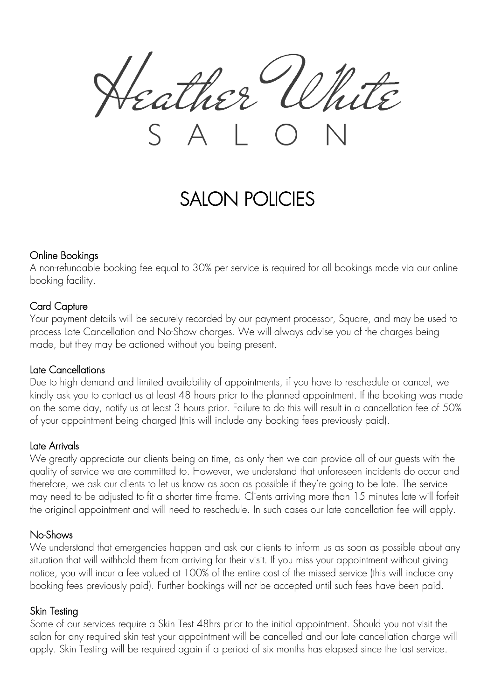ther U

# SALON POLICIES

#### Online Bookings

A non-refundable booking fee equal to 30% per service is required for all bookings made via our online booking facility.

#### Card Capture

Your payment details will be securely recorded by our payment processor, Square, and may be used to process Late Cancellation and No-Show charges. We will always advise you of the charges being made, but they may be actioned without you being present.

#### Late Cancellations

Due to high demand and limited availability of appointments, if you have to reschedule or cancel, we kindly ask you to contact us at least 48 hours prior to the planned appointment. If the booking was made on the same day, notify us at least 3 hours prior. Failure to do this will result in a cancellation fee of 50% of your appointment being charged (this will include any booking fees previously paid).

# Late Arrivals

We greatly appreciate our clients being on time, as only then we can provide all of our guests with the quality of service we are committed to. However, we understand that unforeseen incidents do occur and therefore, we ask our clients to let us know as soon as possible if they're going to be late. The service may need to be adjusted to fit a shorter time frame. Clients arriving more than 15 minutes late will forfeit the original appointment and will need to reschedule. In such cases our late cancellation fee will apply.

# No-Shows

We understand that emergencies happen and ask our clients to inform us as soon as possible about any situation that will withhold them from arriving for their visit. If you miss your appointment without giving notice, you will incur a fee valued at 100% of the entire cost of the missed service (this will include any booking fees previously paid). Further bookings will not be accepted until such fees have been paid.

# Skin Testing

Some of our services require a Skin Test 48hrs prior to the initial appointment. Should you not visit the salon for any required skin test your appointment will be cancelled and our late cancellation charge will apply. Skin Testing will be required again if a period of six months has elapsed since the last service.